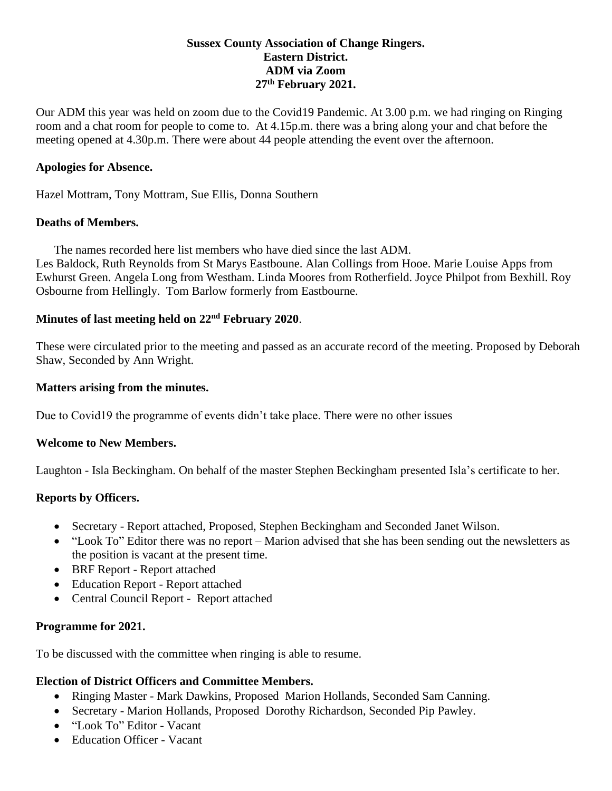#### **Sussex County Association of Change Ringers. Eastern District. ADM via Zoom 27th February 2021.**

Our ADM this year was held on zoom due to the Covid19 Pandemic. At 3.00 p.m. we had ringing on Ringing room and a chat room for people to come to. At 4.15p.m. there was a bring along your and chat before the meeting opened at 4.30p.m. There were about 44 people attending the event over the afternoon.

#### **Apologies for Absence.**

Hazel Mottram, Tony Mottram, Sue Ellis, Donna Southern

#### **Deaths of Members.**

The names recorded here list members who have died since the last ADM. Les Baldock, Ruth Reynolds from St Marys Eastboune. Alan Collings from Hooe. Marie Louise Apps from Ewhurst Green. Angela Long from Westham. Linda Moores from Rotherfield. Joyce Philpot from Bexhill. Roy Osbourne from Hellingly. Tom Barlow formerly from Eastbourne.

# **Minutes of last meeting held on 22nd February 2020**.

These were circulated prior to the meeting and passed as an accurate record of the meeting. Proposed by Deborah Shaw, Seconded by Ann Wright.

#### **Matters arising from the minutes.**

Due to Covid19 the programme of events didn't take place. There were no other issues

## **Welcome to New Members.**

Laughton - Isla Beckingham. On behalf of the master Stephen Beckingham presented Isla's certificate to her.

## **Reports by Officers.**

- Secretary Report attached, Proposed, Stephen Beckingham and Seconded Janet Wilson.
- "Look To" Editor there was no report Marion advised that she has been sending out the newsletters as the position is vacant at the present time.
- BRF Report Report attached
- Education Report Report attached
- Central Council Report Report attached

## **Programme for 2021.**

To be discussed with the committee when ringing is able to resume.

## **Election of District Officers and Committee Members.**

- Ringing Master Mark Dawkins, Proposed Marion Hollands, Seconded Sam Canning.
- Secretary Marion Hollands, Proposed Dorothy Richardson, Seconded Pip Pawley.
- "Look To" Editor Vacant
- Education Officer Vacant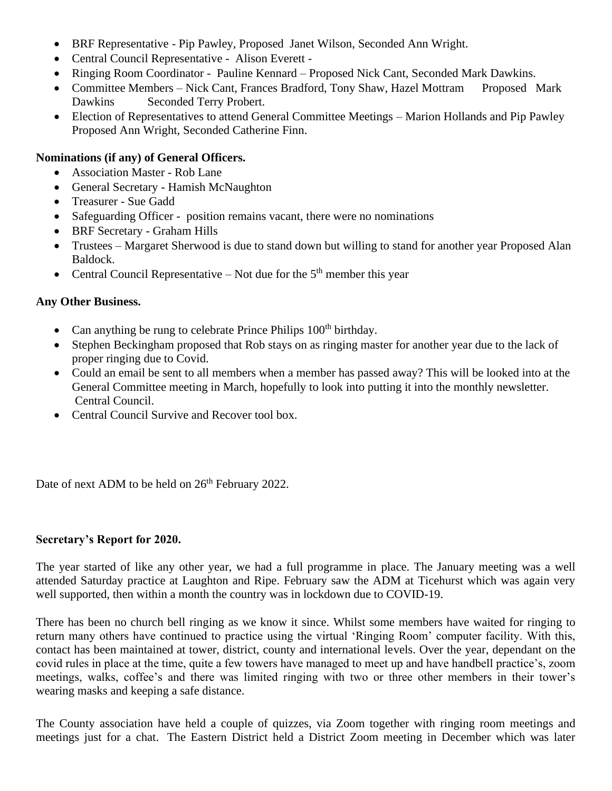- BRF Representative Pip Pawley, Proposed Janet Wilson, Seconded Ann Wright.
- Central Council Representative Alison Everett -
- Ringing Room Coordinator Pauline Kennard Proposed Nick Cant, Seconded Mark Dawkins.
- Committee Members Nick Cant, Frances Bradford, Tony Shaw, Hazel Mottram Proposed Mark Dawkins Seconded Terry Probert.
- Election of Representatives to attend General Committee Meetings Marion Hollands and Pip Pawley Proposed Ann Wright, Seconded Catherine Finn.

#### **Nominations (if any) of General Officers.**

- Association Master Rob Lane
- General Secretary Hamish McNaughton
- Treasurer Sue Gadd
- Safeguarding Officer position remains vacant, there were no nominations
- BRF Secretary Graham Hills
- Trustees Margaret Sherwood is due to stand down but willing to stand for another year Proposed Alan Baldock.
- Central Council Representative Not due for the  $5<sup>th</sup>$  member this year

#### **Any Other Business.**

- Can anything be rung to celebrate Prince Philips  $100<sup>th</sup>$  birthday.
- Stephen Beckingham proposed that Rob stays on as ringing master for another year due to the lack of proper ringing due to Covid.
- Could an email be sent to all members when a member has passed away? This will be looked into at the General Committee meeting in March, hopefully to look into putting it into the monthly newsletter. Central Council.
- Central Council Survive and Recover tool box.

Date of next ADM to be held on  $26<sup>th</sup>$  February 2022.

## **Secretary's Report for 2020.**

The year started of like any other year, we had a full programme in place. The January meeting was a well attended Saturday practice at Laughton and Ripe. February saw the ADM at Ticehurst which was again very well supported, then within a month the country was in lockdown due to COVID-19.

There has been no church bell ringing as we know it since. Whilst some members have waited for ringing to return many others have continued to practice using the virtual 'Ringing Room' computer facility. With this, contact has been maintained at tower, district, county and international levels. Over the year, dependant on the covid rules in place at the time, quite a few towers have managed to meet up and have handbell practice's, zoom meetings, walks, coffee's and there was limited ringing with two or three other members in their tower's wearing masks and keeping a safe distance.

The County association have held a couple of quizzes, via Zoom together with ringing room meetings and meetings just for a chat. The Eastern District held a District Zoom meeting in December which was later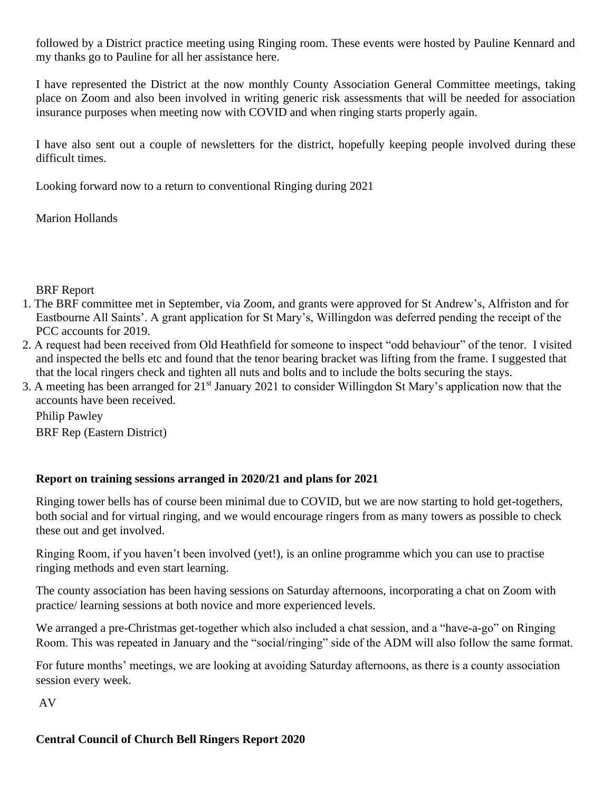followed by a District practice meeting using Ringing room. These events were hosted by Pauline Kennard and my thanks go to Pauline for all her assistance here.

I have represented the District at the now monthly County Association General Committee meetings, taking place on Zoom and also been involved in writing generic risk assessments that will be needed for association insurance purposes when meeting now with COVID and when ringing starts properly again.

I have also sent out a couple of newsletters for the district, hopefully keeping people involved during these difficult times.

Looking forward now to a return to conventional Ringing during 2021

Marion Hollands

## BRF Report

- 1. The BRF committee met in September, via Zoom, and grants were approved for St Andrew's, Alfriston and for Eastbourne All Saints'. A grant application for St Mary's, Willingdon was deferred pending the receipt of the PCC accounts for 2019.
- 2. A request had been received from Old Heathfield for someone to inspect "odd behaviour" of the tenor. I visited and inspected the bells etc and found that the tenor bearing bracket was lifting from the frame. I suggested that that the local ringers check and tighten all nuts and bolts and to include the bolts securing the stays.
- 3. A meeting has been arranged for 21st January 2021 to consider Willingdon St Mary's application now that the accounts have been received.

Philip Pawley BRF Rep (Eastern District)

# **Report on training sessions arranged in 2020/21 and plans for 2021**

Ringing tower bells has of course been minimal due to COVID, but we are now starting to hold get-togethers, both social and for virtual ringing, and we would encourage ringers from as many towers as possible to check these out and get involved.

Ringing Room, if you haven't been involved (yet!), is an online programme which you can use to practise ringing methods and even start learning.

The county association has been having sessions on Saturday afternoons, incorporating a chat on Zoom with practice/ learning sessions at both novice and more experienced levels.

We arranged a pre-Christmas get-together which also included a chat session, and a "have-a-go" on Ringing Room. This was repeated in January and the "social/ringing" side of the ADM will also follow the same format.

For future months' meetings, we are looking at avoiding Saturday afternoons, as there is a county association session every week.

AV

# **Central Council of Church Bell Ringers Report 2020**